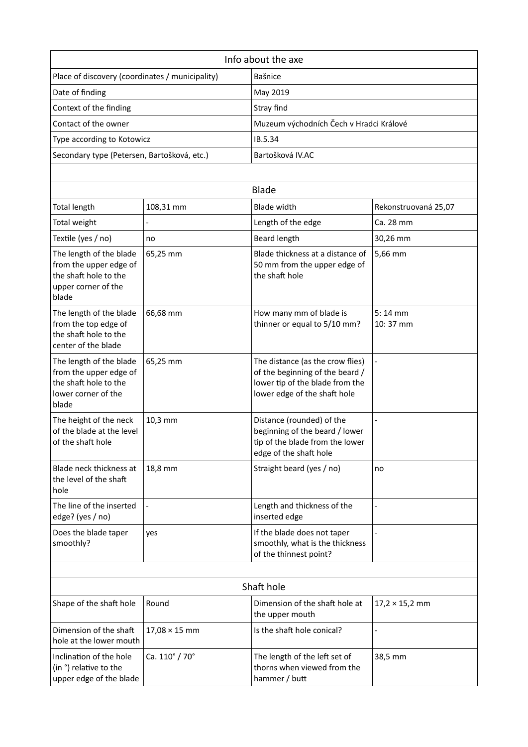| Info about the axe                                                                                         |                      |                                                                                                                                        |                               |  |  |
|------------------------------------------------------------------------------------------------------------|----------------------|----------------------------------------------------------------------------------------------------------------------------------------|-------------------------------|--|--|
| Place of discovery (coordinates / municipality)                                                            |                      | Bašnice                                                                                                                                |                               |  |  |
| Date of finding                                                                                            |                      | May 2019                                                                                                                               |                               |  |  |
| Context of the finding                                                                                     |                      | Stray find                                                                                                                             |                               |  |  |
| Contact of the owner                                                                                       |                      | Muzeum východních Čech v Hradci Králové                                                                                                |                               |  |  |
| Type according to Kotowicz                                                                                 |                      | IB.5.34                                                                                                                                |                               |  |  |
| Secondary type (Petersen, Bartošková, etc.)                                                                |                      | Bartošková IV.AC                                                                                                                       |                               |  |  |
|                                                                                                            |                      |                                                                                                                                        |                               |  |  |
|                                                                                                            |                      | <b>Blade</b>                                                                                                                           |                               |  |  |
| <b>Total length</b>                                                                                        | 108,31 mm            | <b>Blade width</b>                                                                                                                     | Rekonstruovaná 25,07          |  |  |
| Total weight                                                                                               |                      | Length of the edge                                                                                                                     | Ca. 28 mm                     |  |  |
| Textile (yes / no)                                                                                         | no                   | <b>Beard length</b>                                                                                                                    | 30,26 mm                      |  |  |
| The length of the blade<br>from the upper edge of<br>the shaft hole to the<br>upper corner of the<br>blade | 65,25 mm             | Blade thickness at a distance of<br>50 mm from the upper edge of<br>the shaft hole                                                     | 5,66 mm                       |  |  |
| The length of the blade<br>from the top edge of<br>the shaft hole to the<br>center of the blade            | 66,68 mm             | How many mm of blade is<br>thinner or equal to 5/10 mm?                                                                                | $5:14$ mm<br>10:37 mm         |  |  |
| The length of the blade<br>from the upper edge of<br>the shaft hole to the<br>lower corner of the<br>blade | 65,25 mm             | The distance (as the crow flies)<br>of the beginning of the beard /<br>lower tip of the blade from the<br>lower edge of the shaft hole | $\overline{a}$                |  |  |
| The height of the neck<br>of the blade at the level<br>of the shaft hole                                   | 10,3 mm              | Distance (rounded) of the<br>beginning of the beard / lower<br>tip of the blade from the lower<br>edge of the shaft hole               |                               |  |  |
| Blade neck thickness at<br>the level of the shaft<br>hole                                                  | 18,8 mm              | Straight beard (yes / no)                                                                                                              | no                            |  |  |
| The line of the inserted<br>edge? (yes / no)                                                               |                      | Length and thickness of the<br>inserted edge                                                                                           | $\overline{a}$                |  |  |
| Does the blade taper<br>smoothly?                                                                          | yes                  | If the blade does not taper<br>smoothly, what is the thickness<br>of the thinnest point?                                               |                               |  |  |
|                                                                                                            |                      |                                                                                                                                        |                               |  |  |
| Shaft hole                                                                                                 |                      |                                                                                                                                        |                               |  |  |
| Shape of the shaft hole                                                                                    | Round                | Dimension of the shaft hole at<br>the upper mouth                                                                                      | $17,2 \times 15,2 \text{ mm}$ |  |  |
| Dimension of the shaft<br>hole at the lower mouth                                                          | $17,08 \times 15$ mm | Is the shaft hole conical?                                                                                                             |                               |  |  |
| Inclination of the hole<br>(in °) relative to the<br>upper edge of the blade                               | Ca. 110° / 70°       | The length of the left set of<br>thorns when viewed from the<br>hammer / butt                                                          | 38,5 mm                       |  |  |